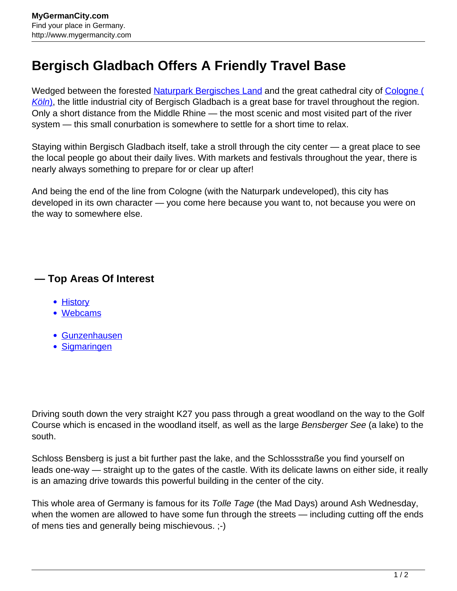## **Bergisch Gladbach Offers A Friendly Travel Base**

Wedged between the forested [Naturpark Bergisches Land](http://www.mygermancity.com/bergisches-land) and the great cathedral city of [Cologne \(](http://www.mygermancity.com/cologne) [Köln](http://www.mygermancity.com/cologne)[\),](http://www.mygermancity.com/cologne) the little industrial city of Bergisch Gladbach is a great base for travel throughout the region. Only a short distance from the Middle Rhine — the most scenic and most visited part of the river system — this small conurbation is somewhere to settle for a short time to relax.

Staying within Bergisch Gladbach itself, take a stroll through the city center — a great place to see the local people go about their daily lives. With markets and festivals throughout the year, there is nearly always something to prepare for or clear up after!

And being the end of the line from Cologne (with the Naturpark undeveloped), this city has developed in its own character — you come here because you want to, not because you were on the way to somewhere else.

## **— Top Areas Of Interest**

- [History](http://www.mygermancity.com/leipzig-history)
- [Webcams](http://www.mygermancity.com/neustadt-holstein-webcams)
- [Gunzenhausen](http://www.mygermancity.com/gunzenhausen)
- [Sigmaringen](http://www.mygermancity.com/sigmaringen)

Driving south down the very straight K27 you pass through a great woodland on the way to the Golf Course which is encased in the woodland itself, as well as the large Bensberger See (a lake) to the south.

Schloss Bensberg is just a bit further past the lake, and the Schlossstraße you find yourself on leads one-way — straight up to the gates of the castle. With its delicate lawns on either side, it really is an amazing drive towards this powerful building in the center of the city.

This whole area of Germany is famous for its Tolle Tage (the Mad Days) around Ash Wednesday, when the women are allowed to have some fun through the streets — including cutting off the ends of mens ties and generally being mischievous. ;-)